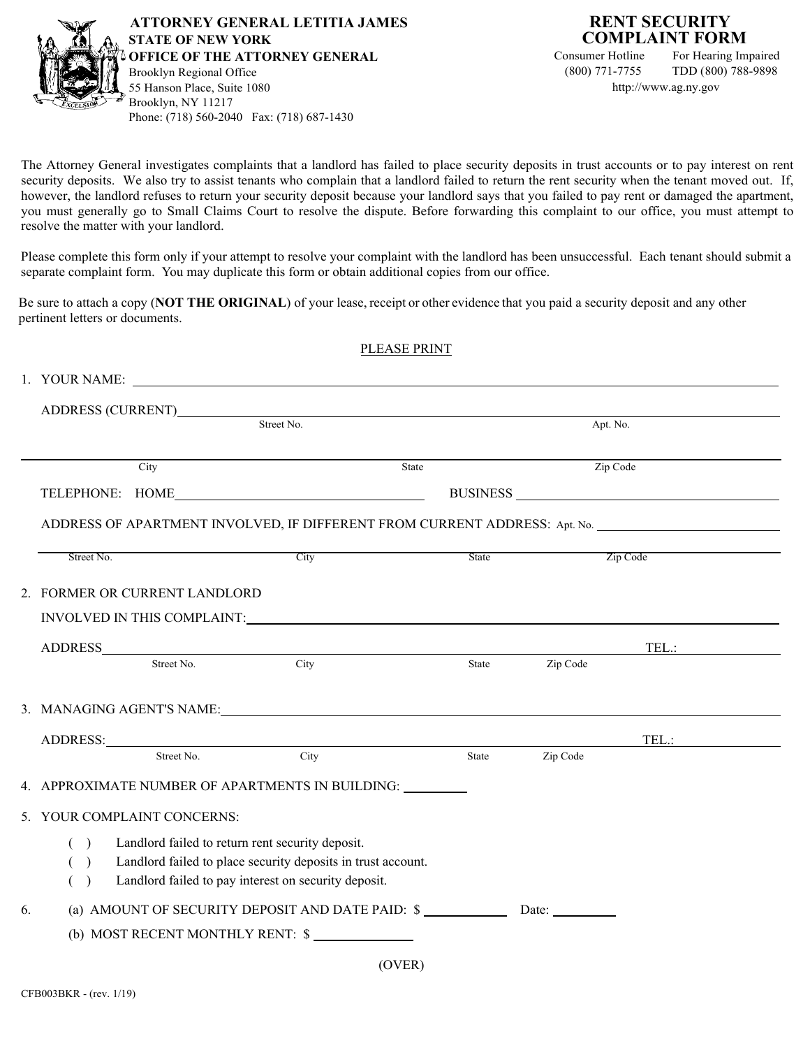

For Hearing Impaired (800) 771-7755 TDD (800) 788-9898 [http://www.ag.ny.gov](www.ag.ny.gov)

The Attorney General investigates complaints that a landlord has failed to place security deposits in trust accounts or to pay interest on rent security deposits. We also try to assist tenants who complain that a landlord failed to return the rent security when the tenant moved out. If, however, the landlord refuses to return your security deposit because your landlord says that you failed to pay rent or damaged the apartment, you must generally go to Small Claims Court to resolve the dispute. Before forwarding this complaint to our office, you must attempt to resolve the matter with your landlord.

Please complete this form only if your attempt to resolve your complaint with the landlord has been unsuccessful. Each tenant should submit a separate complaint form. You may duplicate this form or obtain additional copies from our office.

Be sure to attach a copy (**NOT THE ORIGINAL**) of your lease, receipt or other evidence that you paid a security deposit and any other pertinent letters or documents.

|    |                                                                     |            | PLEASE PRINT                                                                                        |          |          |          |  |  |
|----|---------------------------------------------------------------------|------------|-----------------------------------------------------------------------------------------------------|----------|----------|----------|--|--|
|    |                                                                     |            | 1. YOUR NAME:                                                                                       |          |          |          |  |  |
|    |                                                                     |            |                                                                                                     |          |          |          |  |  |
|    | ADDRESS (CURRENT)<br>Street No.                                     |            |                                                                                                     | Apt. No. |          |          |  |  |
|    |                                                                     |            |                                                                                                     |          |          |          |  |  |
|    |                                                                     | City       | State                                                                                               |          |          | Zip Code |  |  |
|    |                                                                     |            | TELEPHONE: HOME                                                                                     |          |          |          |  |  |
|    |                                                                     |            | ADDRESS OF APARTMENT INVOLVED, IF DIFFERENT FROM CURRENT ADDRESS: Apt. No. ________________________ |          |          |          |  |  |
|    | Street No.                                                          |            | City                                                                                                | State    |          | Zip Code |  |  |
|    | 2. FORMER OR CURRENT LANDLORD                                       |            |                                                                                                     |          |          |          |  |  |
|    |                                                                     |            |                                                                                                     |          |          |          |  |  |
|    |                                                                     |            |                                                                                                     |          |          |          |  |  |
|    |                                                                     | Street No. | City                                                                                                | State    | Zip Code |          |  |  |
|    |                                                                     |            | 3. MANAGING AGENT'S NAME:                                                                           |          |          |          |  |  |
|    |                                                                     |            |                                                                                                     |          |          |          |  |  |
|    |                                                                     |            | ADDRESS: Street No. City                                                                            | State    | Zip Code | TEL.:    |  |  |
|    |                                                                     |            | 4. APPROXIMATE NUMBER OF APARTMENTS IN BUILDING: _________                                          |          |          |          |  |  |
|    | 5. YOUR COMPLAINT CONCERNS:                                         |            |                                                                                                     |          |          |          |  |  |
|    | Landlord failed to return rent security deposit.<br>( )             |            |                                                                                                     |          |          |          |  |  |
|    | Landlord failed to place security deposits in trust account.<br>( ) |            |                                                                                                     |          |          |          |  |  |
|    | Landlord failed to pay interest on security deposit.<br>( )         |            |                                                                                                     |          |          |          |  |  |
| 6. | (a) AMOUNT OF SECURITY DEPOSIT AND DATE PAID: \$ Date: Date:        |            |                                                                                                     |          |          |          |  |  |
|    |                                                                     |            | (b) MOST RECENT MONTHLY RENT: \$                                                                    |          |          |          |  |  |
|    |                                                                     |            | (OVER)                                                                                              |          |          |          |  |  |